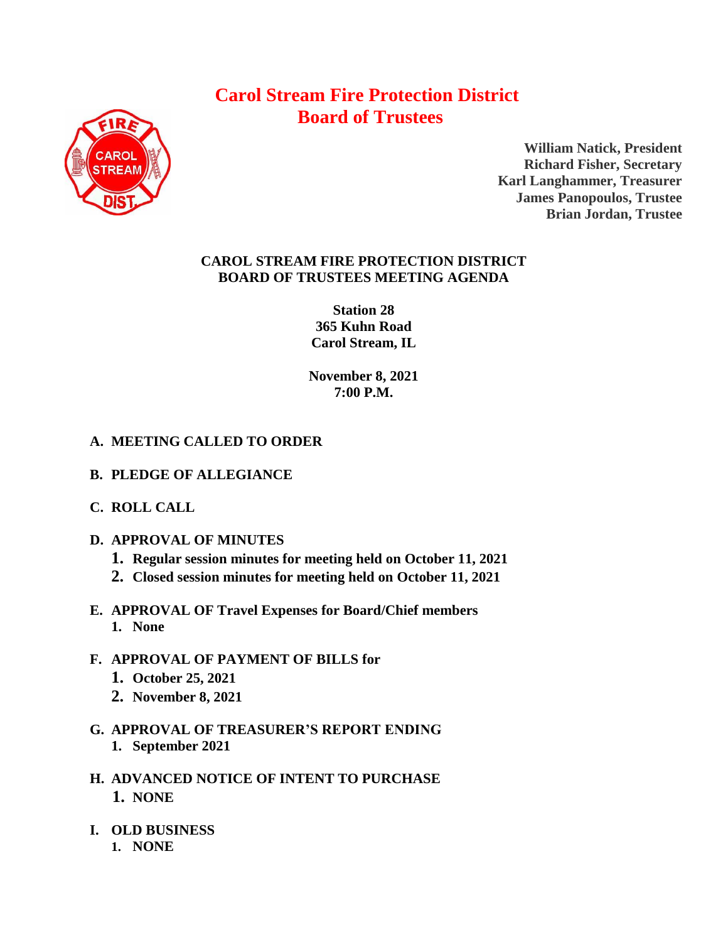## **Carol Stream Fire Protection District Board of Trustees**



**William Natick, President Richard Fisher, Secretary Karl Langhammer, Treasurer James Panopoulos, Trustee Brian Jordan, Trustee**

## **CAROL STREAM FIRE PROTECTION DISTRICT BOARD OF TRUSTEES MEETING AGENDA**

**Station 28 365 Kuhn Road Carol Stream, IL** 

**November 8, 2021 7:00 P.M.**

## **A. MEETING CALLED TO ORDER**

- **B. PLEDGE OF ALLEGIANCE**
- **C. ROLL CALL**
- **D. APPROVAL OF MINUTES**
	- **1. Regular session minutes for meeting held on October 11, 2021**
	- **2. Closed session minutes for meeting held on October 11, 2021**
- **E. APPROVAL OF Travel Expenses for Board/Chief members 1. None**
- **F. APPROVAL OF PAYMENT OF BILLS for 1. October 25, 2021**
	- **2. November 8, 2021**
- **G. APPROVAL OF TREASURER'S REPORT ENDING 1. September 2021**
- **H. ADVANCED NOTICE OF INTENT TO PURCHASE 1. NONE**
- **I. OLD BUSINESS**
	- **1. NONE**